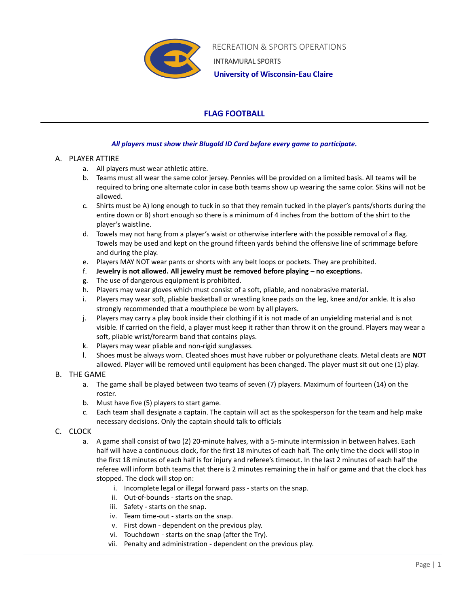

 RECREATION & SPORTS OPERATIONS INTRAMURAL SPORTS  **University of Wisconsin-Eau Claire**

# **FLAG FOOTBALL**

## *All players must show their Blugold ID Card before every game to participate.*

## A. PLAYER ATTIRE

- a. All players must wear athletic attire.
- b. Teams must all wear the same color jersey. Pennies will be provided on a limited basis. All teams will be required to bring one alternate color in case both teams show up wearing the same color. Skins will not be allowed.
- c. Shirts must be A) long enough to tuck in so that they remain tucked in the player's pants/shorts during the entire down or B) short enough so there is a minimum of 4 inches from the bottom of the shirt to the player's waistline.
- d. Towels may not hang from a player's waist or otherwise interfere with the possible removal of a flag. Towels may be used and kept on the ground fifteen yards behind the offensive line of scrimmage before and during the play.
- e. Players MAY NOT wear pants or shorts with any belt loops or pockets. They are prohibited.
- f. **Jewelry is not allowed. All jewelry must be removed before playing – no exceptions.**
- g. The use of dangerous equipment is prohibited.
- h. Players may wear gloves which must consist of a soft, pliable, and nonabrasive material.
- i. Players may wear soft, pliable basketball or wrestling knee pads on the leg, knee and/or ankle. It is also strongly recommended that a mouthpiece be worn by all players.
- j. Players may carry a play book inside their clothing if it is not made of an unyielding material and is not visible. If carried on the field, a player must keep it rather than throw it on the ground. Players may wear a soft, pliable wrist/forearm band that contains plays.
- k. Players may wear pliable and non-rigid sunglasses.
- l. Shoes must be always worn. Cleated shoes must have rubber or polyurethane cleats. Metal cleats are **NOT** allowed. Player will be removed until equipment has been changed. The player must sit out one (1) play.

## B. THE GAME

- a. The game shall be played between two teams of seven (7) players. Maximum of fourteen (14) on the roster.
- b. Must have five (5) players to start game.
- c. Each team shall designate a captain. The captain will act as the spokesperson for the team and help make necessary decisions. Only the captain should talk to officials

## C. CLOCK

- a. A game shall consist of two (2) 20-minute halves, with a 5-minute intermission in between halves. Each half will have a continuous clock, for the first 18 minutes of each half. The only time the clock will stop in the first 18 minutes of each half is for injury and referee's timeout. In the last 2 minutes of each half the referee will inform both teams that there is 2 minutes remaining the in half or game and that the clock has stopped. The clock will stop on:
	- i. Incomplete legal or illegal forward pass starts on the snap.
	- ii. Out-of-bounds starts on the snap.
	- iii. Safety starts on the snap.
	- iv. Team time-out starts on the snap.
	- v. First down dependent on the previous play.
	- vi. Touchdown starts on the snap (after the Try).
	- vii. Penalty and administration dependent on the previous play.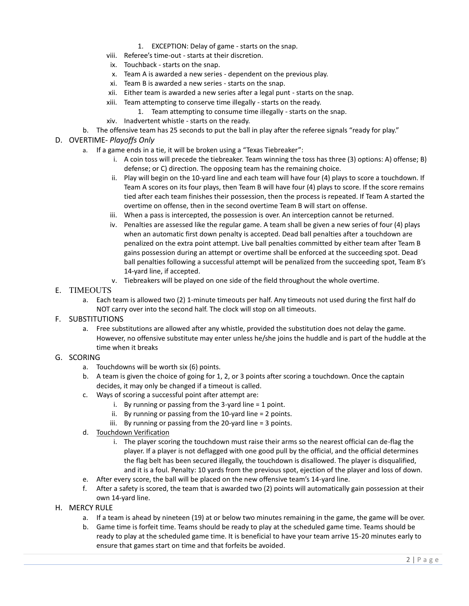- 1. EXCEPTION: Delay of game starts on the snap.
- viii. Referee's time-out starts at their discretion.
- ix. Touchback starts on the snap.
- x. Team A is awarded a new series dependent on the previous play.
- xi. Team B is awarded a new series starts on the snap.
- xii. Either team is awarded a new series after a legal punt starts on the snap.
- xiii. Team attempting to conserve time illegally starts on the ready.
	- 1. Team attempting to consume time illegally starts on the snap.
- xiv. Inadvertent whistle starts on the ready.
- b. The offensive team has 25 seconds to put the ball in play after the referee signals "ready for play."
- D. OVERTIME- *Playoffs Only*
	- a. If a game ends in a tie, it will be broken using a "Texas Tiebreaker":
		- i. A coin toss will precede the tiebreaker. Team winning the toss has three (3) options: A) offense; B) defense; or C) direction. The opposing team has the remaining choice.
		- ii. Play will begin on the 10-yard line and each team will have four (4) plays to score a touchdown. If Team A scores on its four plays, then Team B will have four (4) plays to score. If the score remains tied after each team finishes their possession, then the process is repeated. If Team A started the overtime on offense, then in the second overtime Team B will start on offense.
		- iii. When a pass is intercepted, the possession is over. An interception cannot be returned.
		- iv. Penalties are assessed like the regular game. A team shall be given a new series of four (4) plays when an automatic first down penalty is accepted. Dead ball penalties after a touchdown are penalized on the extra point attempt. Live ball penalties committed by either team after Team B gains possession during an attempt or overtime shall be enforced at the succeeding spot. Dead ball penalties following a successful attempt will be penalized from the succeeding spot, Team B's 14-yard line, if accepted.
		- v. Tiebreakers will be played on one side of the field throughout the whole overtime.
- E. TIMEOUTS
	- a. Each team is allowed two (2) 1-minute timeouts per half. Any timeouts not used during the first half do NOT carry over into the second half. The clock will stop on all timeouts.
- F. SUBSTITUTIONS
	- a. Free substitutions are allowed after any whistle, provided the substitution does not delay the game. However, no offensive substitute may enter unless he/she joins the huddle and is part of the huddle at the time when it breaks
- G. SCORING
	- a. Touchdowns will be worth six (6) points.
	- b. A team is given the choice of going for 1, 2, or 3 points after scoring a touchdown. Once the captain decides, it may only be changed if a timeout is called.
	- c. Ways of scoring a successful point after attempt are:
		- i. By running or passing from the 3-yard line = 1 point.
		- ii. By running or passing from the 10-yard line = 2 points.
		- iii. By running or passing from the 20-yard line = 3 points.
	- d. Touchdown Verification
		- i. The player scoring the touchdown must raise their arms so the nearest official can de-flag the player. If a player is not deflagged with one good pull by the official, and the official determines the flag belt has been secured illegally, the touchdown is disallowed. The player is disqualified, and it is a foul. Penalty: 10 yards from the previous spot, ejection of the player and loss of down.
	- e. After every score, the ball will be placed on the new offensive team's 14-yard line.
	- f. After a safety is scored, the team that is awarded two (2) points will automatically gain possession at their own 14-yard line.
- H. MERCY RULE
	- a. If a team is ahead by nineteen (19) at or below two minutes remaining in the game, the game will be over.
	- b. Game time is forfeit time. Teams should be ready to play at the scheduled game time. Teams should be ready to play at the scheduled game time. It is beneficial to have your team arrive 15-20 minutes early to ensure that games start on time and that forfeits be avoided.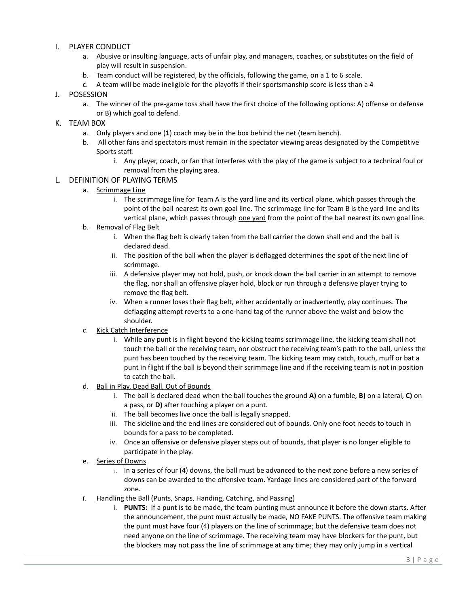### I. PLAYER CONDUCT

- a. Abusive or insulting language, acts of unfair play, and managers, coaches, or substitutes on the field of play will result in suspension.
- b. Team conduct will be registered, by the officials, following the game, on a 1 to 6 scale.
- c. A team will be made ineligible for the playoffs if their sportsmanship score is less than a 4

### J. POSESSION

a. The winner of the pre-game toss shall have the first choice of the following options: A) offense or defense or B) which goal to defend.

#### K. TEAM BOX

- a. Only players and one (**1**) coach may be in the box behind the net (team bench).
- b. All other fans and spectators must remain in the spectator viewing areas designated by the Competitive Sports staff.
	- i. Any player, coach, or fan that interferes with the play of the game is subject to a technical foul or removal from the playing area.

#### L. DEFINITION OF PLAYING TERMS

- a. Scrimmage Line
	- i. The scrimmage line for Team A is the yard line and its vertical plane, which passes through the point of the ball nearest its own goal line. The scrimmage line for Team B is the yard line and its vertical plane, which passes through one yard from the point of the ball nearest its own goal line.
- b. Removal of Flag Belt
	- i. When the flag belt is clearly taken from the ball carrier the down shall end and the ball is declared dead.
	- ii. The position of the ball when the player is deflagged determines the spot of the next line of scrimmage.
	- iii. A defensive player may not hold, push, or knock down the ball carrier in an attempt to remove the flag, nor shall an offensive player hold, block or run through a defensive player trying to remove the flag belt.
	- iv. When a runner loses their flag belt, either accidentally or inadvertently, play continues. The deflagging attempt reverts to a one-hand tag of the runner above the waist and below the shoulder.
- c. Kick Catch Interference
	- i. While any punt is in flight beyond the kicking teams scrimmage line, the kicking team shall not touch the ball or the receiving team, nor obstruct the receiving team's path to the ball, unless the punt has been touched by the receiving team. The kicking team may catch, touch, muff or bat a punt in flight if the ball is beyond their scrimmage line and if the receiving team is not in position to catch the ball.
- d. Ball in Play, Dead Ball, Out of Bounds
	- i. The ball is declared dead when the ball touches the ground **A)** on a fumble, **B)** on a lateral, **C)** on a pass, or **D)** after touching a player on a punt.
	- ii. The ball becomes live once the ball is legally snapped.
	- iii. The sideline and the end lines are considered out of bounds. Only one foot needs to touch in bounds for a pass to be completed.
	- iv. Once an offensive or defensive player steps out of bounds, that player is no longer eligible to participate in the play.
- e. Series of Downs
	- i. In a series of four (4) downs, the ball must be advanced to the next zone before a new series of downs can be awarded to the offensive team. Yardage lines are considered part of the forward zone.
- f. Handling the Ball (Punts, Snaps, Handing, Catching, and Passing)
	- i. **PUNTS:** If a punt is to be made, the team punting must announce it before the down starts. After the announcement, the punt must actually be made, NO FAKE PUNTS. The offensive team making the punt must have four (4) players on the line of scrimmage; but the defensive team does not need anyone on the line of scrimmage. The receiving team may have blockers for the punt, but the blockers may not pass the line of scrimmage at any time; they may only jump in a vertical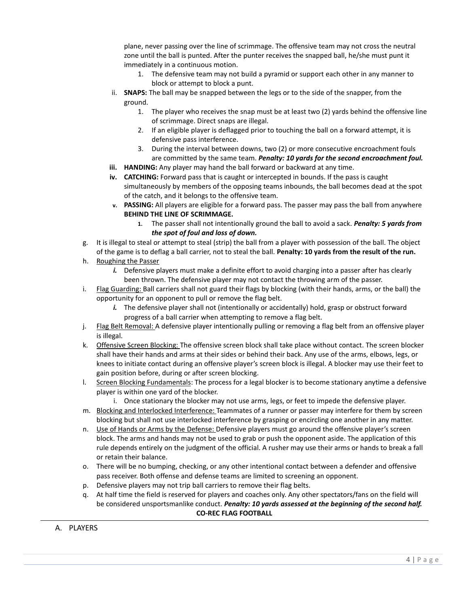plane, never passing over the line of scrimmage. The offensive team may not cross the neutral zone until the ball is punted. After the punter receives the snapped ball, he/she must punt it immediately in a continuous motion.

- 1. The defensive team may not build a pyramid or support each other in any manner to block or attempt to block a punt.
- ii. **SNAPS:** The ball may be snapped between the legs or to the side of the snapper, from the ground.
	- 1. The player who receives the snap must be at least two (2) yards behind the offensive line of scrimmage. Direct snaps are illegal.
	- 2. If an eligible player is deflagged prior to touching the ball on a forward attempt, it is defensive pass interference.
	- 3. During the interval between downs, two (2) or more consecutive encroachment fouls are committed by the same team. *Penalty: 10 yards for the second encroachment foul.*
- **iii. HANDING:** Any player may hand the ball forward or backward at any time.
- **iv. CATCHING:** Forward pass that is caught or intercepted in bounds. If the pass is caught simultaneously by members of the opposing teams inbounds, the ball becomes dead at the spot of the catch, and it belongs to the offensive team.
- **v. PASSING:** All players are eligible for a forward pass. The passer may pass the ball from anywhere **BEHIND THE LINE OF SCRIMMAGE.**
	- **1.** The passer shall not intentionally ground the ball to avoid a sack. *Penalty: 5 yards from the spot of foul and loss of down.*
- g. It is illegal to steal or attempt to steal (strip) the ball from a player with possession of the ball. The object of the game is to deflag a ball carrier, not to steal the ball. **Penalty: 10 yards from the result of the run.**
- h. Roughing the Passer
	- *i.* Defensive players must make a definite effort to avoid charging into a passer after has clearly been thrown. The defensive player may not contact the throwing arm of the passer.
- i. Flag Guarding: Ball carriers shall not guard their flags by blocking (with their hands, arms, or the ball) the opportunity for an opponent to pull or remove the flag belt.
	- *i.* The defensive player shall not (intentionally or accidentally) hold, grasp or obstruct forward progress of a ball carrier when attempting to remove a flag belt.
- j. Flag Belt Removal: A defensive player intentionally pulling or removing a flag belt from an offensive player is illegal.
- k. Offensive Screen Blocking: The offensive screen block shall take place without contact. The screen blocker shall have their hands and arms at their sides or behind their back. Any use of the arms, elbows, legs, or knees to initiate contact during an offensive player's screen block is illegal. A blocker may use their feet to gain position before, during or after screen blocking.
- l. Screen Blocking Fundamentals: The process for a legal blocker is to become stationary anytime a defensive player is within one yard of the blocker.
	- i. Once stationary the blocker may not use arms, legs, or feet to impede the defensive player.
- m. Blocking and Interlocked Interference: Teammates of a runner or passer may interfere for them by screen blocking but shall not use interlocked interference by grasping or encircling one another in any matter.
- n. Use of Hands or Arms by the Defense: Defensive players must go around the offensive player's screen block. The arms and hands may not be used to grab or push the opponent aside. The application of this rule depends entirely on the judgment of the official. A rusher may use their arms or hands to break a fall or retain their balance.
- o. There will be no bumping, checking, or any other intentional contact between a defender and offensive pass receiver. Both offense and defense teams are limited to screening an opponent.
- p. Defensive players may not trip ball carriers to remove their flag belts.
- q. At half time the field is reserved for players and coaches only. Any other spectators/fans on the field will be considered unsportsmanlike conduct. *Penalty: 10 yards assessed at the beginning of the second half.* **CO-REC FLAG FOOTBALL**